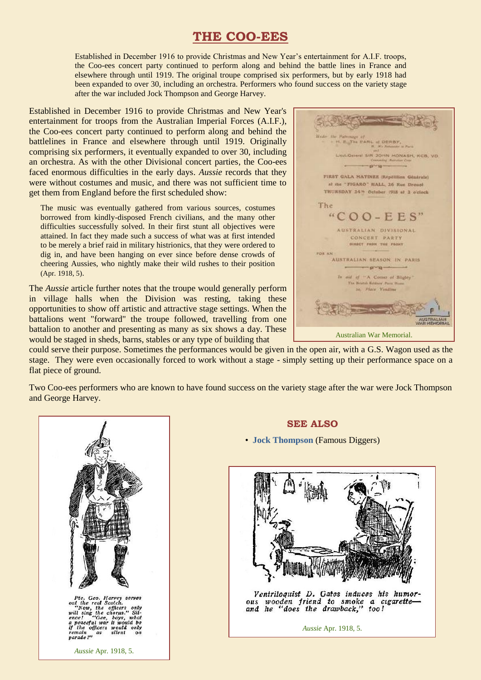## **THE COO-EES**

Established in December 1916 to provide Christmas and New Year's entertainment for A.I.F. troops, the Coo-ees concert party continued to perform along and behind the battle lines in France and elsewhere through until 1919. The original troupe comprised six performers, but by early 1918 had been expanded to over 30, including an orchestra. Performers who found success on the variety stage after the war included Jock Thompson and George Harvey.

Established in December 1916 to provide Christmas and New Year's entertainment for troops from the Australian Imperial Forces (A.I.F.), the Coo-ees concert party continued to perform along and behind the battlelines in France and elsewhere through until 1919. Originally comprising six performers, it eventually expanded to over 30, including an orchestra. As with the other Divisional concert parties, the Coo-ees faced enormous difficulties in the early days. *Aussie* records that they were without costumes and music, and there was not sufficient time to get them from England before the first scheduled show:

The music was eventually gathered from various sources, costumes borrowed from kindly-disposed French civilians, and the many other difficulties successfully solved. In their first stunt all objectives were attained. In fact they made such a success of what was at first intended to be merely a brief raid in military histrionics, that they were ordered to dig in, and have been hanging on ever since before dense crowds of cheering Aussies, who nightly make their wild rushes to their position (Apr. 1918, 5).

The *Aussie* article further notes that the troupe would generally perform in village halls when the Division was resting, taking these opportunities to show off artistic and attractive stage settings. When the battalions went "forward" the troupe followed, travelling from one battalion to another and presenting as many as six shows a day. These would be staged in sheds, barns, stables or any type of building that

**M. B. The CARL of DERBY** Lieut.General SIR JOHN MONASH, KCB, VO.  $-$ grung-FIRST GALA MATINEE (Repetition Generate) at the "FIGARO" HALL, 26 Rue Drouot THURSDAY 24<sup>m</sup> October 1918 at 2 o'clock The  $"COO-EES"$ AUSTRALIAN DIVISIONAL CONCERT PARTY DIASCT. FROM THE FRONT AUSTRALIAN SEASON IN PARIS  $-$ *q*-q-In aid of "A Corner of Blighty The Bright Science Pane Home 30. Place Vending Australian War Memorial.

could serve their purpose. Sometimes the performances would be given in the open air, with a G.S. Wagon used as the stage. They were even occasionally forced to work without a stage - simply setting up their performance space on a flat piece of ground.

Two Coo-ees performers who are known to have found success on the variety stage after the war were Jock Thompson and George Harvey.



**SEE ALSO**

• **[Jock Thompson](http://ozvta.com/practitioners-t/)** (Famous Diggers)



Ventriloquist D. Gates induces his humorous wooden friend to smoke a cigarette-<br>and he "does the drawback," too!

*Aussie* Apr. 1918, 5.

*Aussie* Apr. 1918, 5.